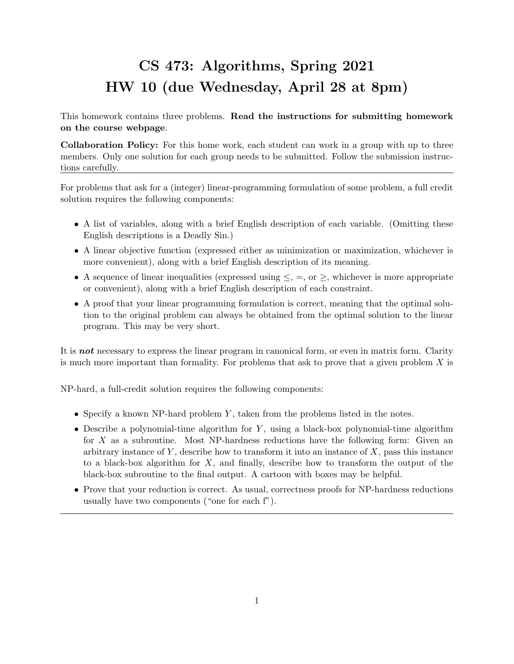## CS 473: Algorithms, Spring 2021 HW 10 (due Wednesday, April 28 at 8pm)

This homework contains three problems. Read the instructions for submitting homework on the course webpage.

Collaboration Policy: For this home work, each student can work in a group with up to three members. Only one solution for each group needs to be submitted. Follow the submission instructions carefully.

For problems that ask for a (integer) linear-programming formulation of some problem, a full credit solution requires the following components:

- A list of variables, along with a brief English description of each variable. (Omitting these English descriptions is a Deadly Sin.)
- A linear objective function (expressed either as minimization or maximization, whichever is more convenient), along with a brief English description of its meaning.
- A sequence of linear inequalities (expressed using  $\leq$ ,  $=$ , or  $\geq$ , whichever is more appropriate or convenient), along with a brief English description of each constraint.
- A proof that your linear programming formulation is correct, meaning that the optimal solution to the original problem can always be obtained from the optimal solution to the linear program. This may be very short.

It is **not** necessary to express the linear program in canonical form, or even in matrix form. Clarity is much more important than formality. For problems that ask to prove that a given problem  $X$  is

NP-hard, a full-credit solution requires the following components:

- Specify a known NP-hard problem  $Y$ , taken from the problems listed in the notes.
- Describe a polynomial-time algorithm for  $Y$ , using a black-box polynomial-time algorithm for X as a subroutine. Most NP-hardness reductions have the following form: Given an arbitrary instance of  $Y$ , describe how to transform it into an instance of  $X$ , pass this instance to a black-box algorithm for  $X$ , and finally, describe how to transform the output of the black-box subroutine to the final output. A cartoon with boxes may be helpful.
- Prove that your reduction is correct. As usual, correctness proofs for NP-hardness reductions usually have two components ("one for each f").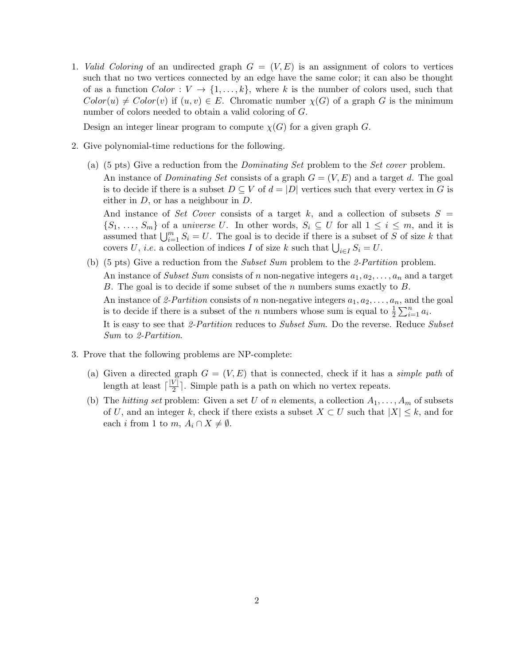1. Valid Coloring of an undirected graph  $G = (V, E)$  is an assignment of colors to vertices such that no two vertices connected by an edge have the same color; it can also be thought of as a function  $Color: V \rightarrow \{1, ..., k\}$ , where k is the number of colors used, such that  $Color(u) \neq Color(v)$  if  $(u, v) \in E$ . Chromatic number  $\chi(G)$  of a graph G is the minimum number of colors needed to obtain a valid coloring of G.

Design an integer linear program to compute  $\chi(G)$  for a given graph G.

- 2. Give polynomial-time reductions for the following.
	- (a) (5 pts) Give a reduction from the *Dominating Set* problem to the *Set cover* problem. An instance of *Dominating Set* consists of a graph  $G = (V, E)$  and a target d. The goal is to decide if there is a subset  $D \subseteq V$  of  $d = |D|$  vertices such that every vertex in G is either in  $D$ , or has a neighbour in  $D$ .

And instance of Set Cover consists of a target k, and a collection of subsets  $S =$  $\{S_1, \ldots, S_m\}$  of a *universe U*. In other words,  $S_i \subseteq U$  for all  $1 \leq i \leq m$ , and it is assumed that  $\bigcup_{i=1}^m S_i = U$ . The goal is to decide if there is a subset of S of size k that covers U, *i.e.* a collection of indices I of size k such that  $\bigcup_{i \in I} S_i = U$ .

- (b) (5 pts) Give a reduction from the Subset Sum problem to the 2-Partition problem. An instance of Subset Sum consists of n non-negative integers  $a_1, a_2, \ldots, a_n$  and a target B. The goal is to decide if some subset of the n numbers sums exactly to B. An instance of 2-Partition consists of n non-negative integers  $a_1, a_2, \ldots, a_n$ , and the goal is to decide if there is a subset of the *n* numbers whose sum is equal to  $\frac{1}{2} \sum_{i=1}^{n} a_i$ . It is easy to see that 2-Partition reduces to Subset Sum. Do the reverse. Reduce Subset Sum to 2-Partition.
- 3. Prove that the following problems are NP-complete:
	- (a) Given a directed graph  $G = (V, E)$  that is connected, check if it has a *simple path* of length at least  $\lceil \frac{|V|}{2} \rceil$  $\frac{\nu_1}{2}$ . Simple path is a path on which no vertex repeats.
	- (b) The hitting set problem: Given a set U of n elements, a collection  $A_1, \ldots, A_m$  of subsets of U, and an integer k, check if there exists a subset  $X \subset U$  such that  $|X| \leq k$ , and for each *i* from 1 to  $m, A_i \cap X \neq \emptyset$ .